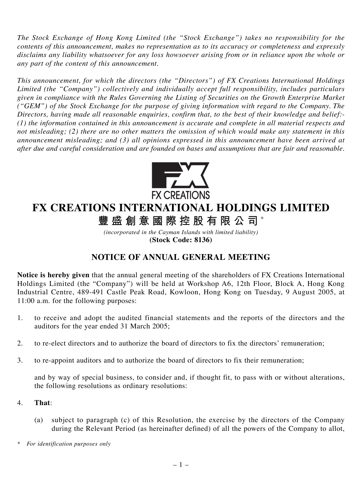*The Stock Exchange of Hong Kong Limited (the "Stock Exchange") takes no responsibility for the contents of this announcement, makes no representation as to its accuracy or completeness and expressly disclaims any liability whatsoever for any loss howsoever arising from or in reliance upon the whole or any part of the content of this announcement.*

*This announcement, for which the directors (the "Directors") of FX Creations International Holdings Limited (the "Company") collectively and individually accept full responsibility, includes particulars given in compliance with the Rules Governing the Listing of Securities on the Growth Enterprise Market ("GEM") of the Stock Exchange for the purpose of giving information with regard to the Company. The Directors, having made all reasonable enquiries, confirm that, to the best of their knowledge and belief:- (1) the information contained in this announcement is accurate and complete in all material respects and not misleading; (2) there are no other matters the omission of which would make any statement in this announcement misleading; and (3) all opinions expressed in this announcement have been arrived at after due and careful consideration and are founded on bases and assumptions that are fair and reasonable.*



# **FX CREATIONS INTERNATIONAL HOLDINGS LIMITED**

**豐盛創意國際控股有限公司** \*

*(incorporated in the Cayman Islands with limited liability)* **(Stock Code: 8136)**

## **NOTICE OF ANNUAL GENERAL MEETING**

**Notice is hereby given** that the annual general meeting of the shareholders of FX Creations International Holdings Limited (the "Company") will be held at Workshop A6, 12th Floor, Block A, Hong Kong Industrial Centre, 489-491 Castle Peak Road, Kowloon, Hong Kong on Tuesday, 9 August 2005, at 11:00 a.m. for the following purposes:

- 1. to receive and adopt the audited financial statements and the reports of the directors and the auditors for the year ended 31 March 2005;
- 2. to re-elect directors and to authorize the board of directors to fix the directors' remuneration;
- 3. to re-appoint auditors and to authorize the board of directors to fix their remuneration;

and by way of special business, to consider and, if thought fit, to pass with or without alterations, the following resolutions as ordinary resolutions:

### 4. **That**:

- (a) subject to paragraph (c) of this Resolution, the exercise by the directors of the Company during the Relevant Period (as hereinafter defined) of all the powers of the Company to allot,
- *\* For identification purposes only*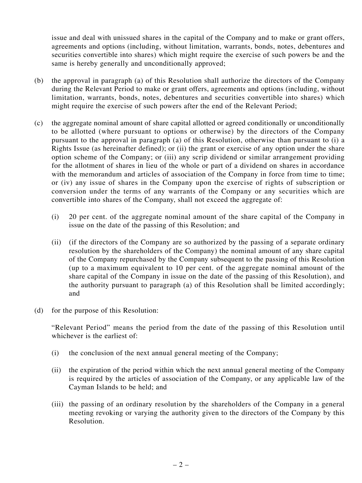issue and deal with unissued shares in the capital of the Company and to make or grant offers, agreements and options (including, without limitation, warrants, bonds, notes, debentures and securities convertible into shares) which might require the exercise of such powers be and the same is hereby generally and unconditionally approved;

- (b) the approval in paragraph (a) of this Resolution shall authorize the directors of the Company during the Relevant Period to make or grant offers, agreements and options (including, without limitation, warrants, bonds, notes, debentures and securities convertible into shares) which might require the exercise of such powers after the end of the Relevant Period;
- (c) the aggregate nominal amount of share capital allotted or agreed conditionally or unconditionally to be allotted (where pursuant to options or otherwise) by the directors of the Company pursuant to the approval in paragraph (a) of this Resolution, otherwise than pursuant to (i) a Rights Issue (as hereinafter defined); or (ii) the grant or exercise of any option under the share option scheme of the Company; or (iii) any scrip dividend or similar arrangement providing for the allotment of shares in lieu of the whole or part of a dividend on shares in accordance with the memorandum and articles of association of the Company in force from time to time; or (iv) any issue of shares in the Company upon the exercise of rights of subscription or conversion under the terms of any warrants of the Company or any securities which are convertible into shares of the Company, shall not exceed the aggregate of:
	- (i) 20 per cent. of the aggregate nominal amount of the share capital of the Company in issue on the date of the passing of this Resolution; and
	- (ii) (if the directors of the Company are so authorized by the passing of a separate ordinary resolution by the shareholders of the Company) the nominal amount of any share capital of the Company repurchased by the Company subsequent to the passing of this Resolution (up to a maximum equivalent to 10 per cent. of the aggregate nominal amount of the share capital of the Company in issue on the date of the passing of this Resolution), and the authority pursuant to paragraph (a) of this Resolution shall be limited accordingly; and
- (d) for the purpose of this Resolution:

"Relevant Period" means the period from the date of the passing of this Resolution until whichever is the earliest of:

- (i) the conclusion of the next annual general meeting of the Company;
- (ii) the expiration of the period within which the next annual general meeting of the Company is required by the articles of association of the Company, or any applicable law of the Cayman Islands to be held; and
- (iii) the passing of an ordinary resolution by the shareholders of the Company in a general meeting revoking or varying the authority given to the directors of the Company by this Resolution.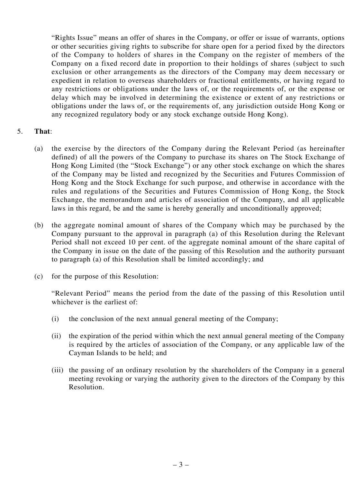"Rights Issue" means an offer of shares in the Company, or offer or issue of warrants, options or other securities giving rights to subscribe for share open for a period fixed by the directors of the Company to holders of shares in the Company on the register of members of the Company on a fixed record date in proportion to their holdings of shares (subject to such exclusion or other arrangements as the directors of the Company may deem necessary or expedient in relation to overseas shareholders or fractional entitlements, or having regard to any restrictions or obligations under the laws of, or the requirements of, or the expense or delay which may be involved in determining the existence or extent of any restrictions or obligations under the laws of, or the requirements of, any jurisdiction outside Hong Kong or any recognized regulatory body or any stock exchange outside Hong Kong).

#### 5. **That**:

- (a) the exercise by the directors of the Company during the Relevant Period (as hereinafter defined) of all the powers of the Company to purchase its shares on The Stock Exchange of Hong Kong Limited (the "Stock Exchange") or any other stock exchange on which the shares of the Company may be listed and recognized by the Securities and Futures Commission of Hong Kong and the Stock Exchange for such purpose, and otherwise in accordance with the rules and regulations of the Securities and Futures Commission of Hong Kong, the Stock Exchange, the memorandum and articles of association of the Company, and all applicable laws in this regard, be and the same is hereby generally and unconditionally approved;
- (b) the aggregate nominal amount of shares of the Company which may be purchased by the Company pursuant to the approval in paragraph (a) of this Resolution during the Relevant Period shall not exceed 10 per cent. of the aggregate nominal amount of the share capital of the Company in issue on the date of the passing of this Resolution and the authority pursuant to paragraph (a) of this Resolution shall be limited accordingly; and
- (c) for the purpose of this Resolution:

"Relevant Period" means the period from the date of the passing of this Resolution until whichever is the earliest of:

- (i) the conclusion of the next annual general meeting of the Company;
- (ii) the expiration of the period within which the next annual general meeting of the Company is required by the articles of association of the Company, or any applicable law of the Cayman Islands to be held; and
- (iii) the passing of an ordinary resolution by the shareholders of the Company in a general meeting revoking or varying the authority given to the directors of the Company by this Resolution.